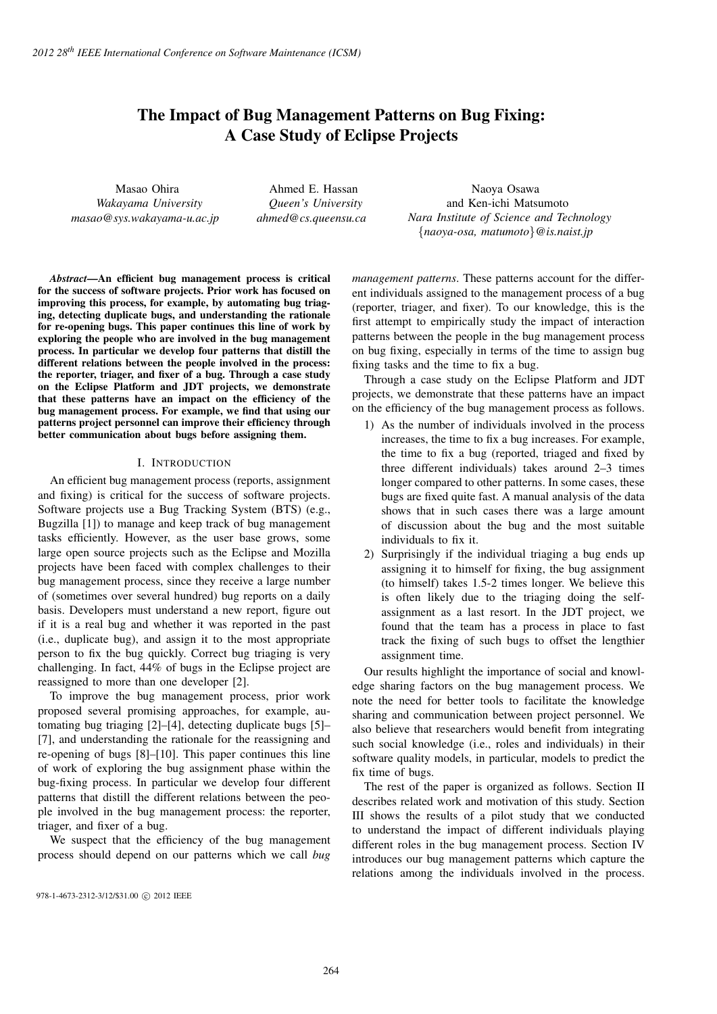# The Impact of Bug Management Patterns on Bug Fixing: A Case Study of Eclipse Projects

Masao Ohira *Wakayama University masao@sys.wakayama-u.ac.jp*

Ahmed E. Hassan *Queen's University ahmed@cs.queensu.ca*

Naoya Osawa and Ken-ichi Matsumoto *Nara Institute of Science and Technology* {*naoya-osa, matumoto*}*@is.naist.jp*

*Abstract*—An efficient bug management process is critical for the success of software projects. Prior work has focused on improving this process, for example, by automating bug triaging, detecting duplicate bugs, and understanding the rationale for re-opening bugs. This paper continues this line of work by exploring the people who are involved in the bug management process. In particular we develop four patterns that distill the different relations between the people involved in the process: the reporter, triager, and fixer of a bug. Through a case study on the Eclipse Platform and JDT projects, we demonstrate that these patterns have an impact on the efficiency of the bug management process. For example, we find that using our patterns project personnel can improve their efficiency through better communication about bugs before assigning them.

#### I. INTRODUCTION

An efficient bug management process (reports, assignment and fixing) is critical for the success of software projects. Software projects use a Bug Tracking System (BTS) (e.g., Bugzilla [1]) to manage and keep track of bug management tasks efficiently. However, as the user base grows, some large open source projects such as the Eclipse and Mozilla projects have been faced with complex challenges to their bug management process, since they receive a large number of (sometimes over several hundred) bug reports on a daily basis. Developers must understand a new report, figure out if it is a real bug and whether it was reported in the past (i.e., duplicate bug), and assign it to the most appropriate person to fix the bug quickly. Correct bug triaging is very challenging. In fact, 44% of bugs in the Eclipse project are reassigned to more than one developer [2].

To improve the bug management process, prior work proposed several promising approaches, for example, automating bug triaging [2]–[4], detecting duplicate bugs [5]– [7], and understanding the rationale for the reassigning and re-opening of bugs [8]–[10]. This paper continues this line of work of exploring the bug assignment phase within the bug-fixing process. In particular we develop four different patterns that distill the different relations between the people involved in the bug management process: the reporter, triager, and fixer of a bug.

We suspect that the efficiency of the bug management process should depend on our patterns which we call *bug*

*management patterns*. These patterns account for the different individuals assigned to the management process of a bug (reporter, triager, and fixer). To our knowledge, this is the first attempt to empirically study the impact of interaction patterns between the people in the bug management process on bug fixing, especially in terms of the time to assign bug fixing tasks and the time to fix a bug.

Through a case study on the Eclipse Platform and JDT projects, we demonstrate that these patterns have an impact on the efficiency of the bug management process as follows.

- 1) As the number of individuals involved in the process increases, the time to fix a bug increases. For example, the time to fix a bug (reported, triaged and fixed by three different individuals) takes around 2–3 times longer compared to other patterns. In some cases, these bugs are fixed quite fast. A manual analysis of the data shows that in such cases there was a large amount of discussion about the bug and the most suitable individuals to fix it.
- 2) Surprisingly if the individual triaging a bug ends up assigning it to himself for fixing, the bug assignment (to himself) takes 1.5-2 times longer. We believe this is often likely due to the triaging doing the selfassignment as a last resort. In the JDT project, we found that the team has a process in place to fast track the fixing of such bugs to offset the lengthier assignment time.

Our results highlight the importance of social and knowledge sharing factors on the bug management process. We note the need for better tools to facilitate the knowledge sharing and communication between project personnel. We also believe that researchers would benefit from integrating such social knowledge (i.e., roles and individuals) in their software quality models, in particular, models to predict the fix time of bugs.

The rest of the paper is organized as follows. Section II describes related work and motivation of this study. Section III shows the results of a pilot study that we conducted to understand the impact of different individuals playing different roles in the bug management process. Section IV introduces our bug management patterns which capture the relations among the individuals involved in the process.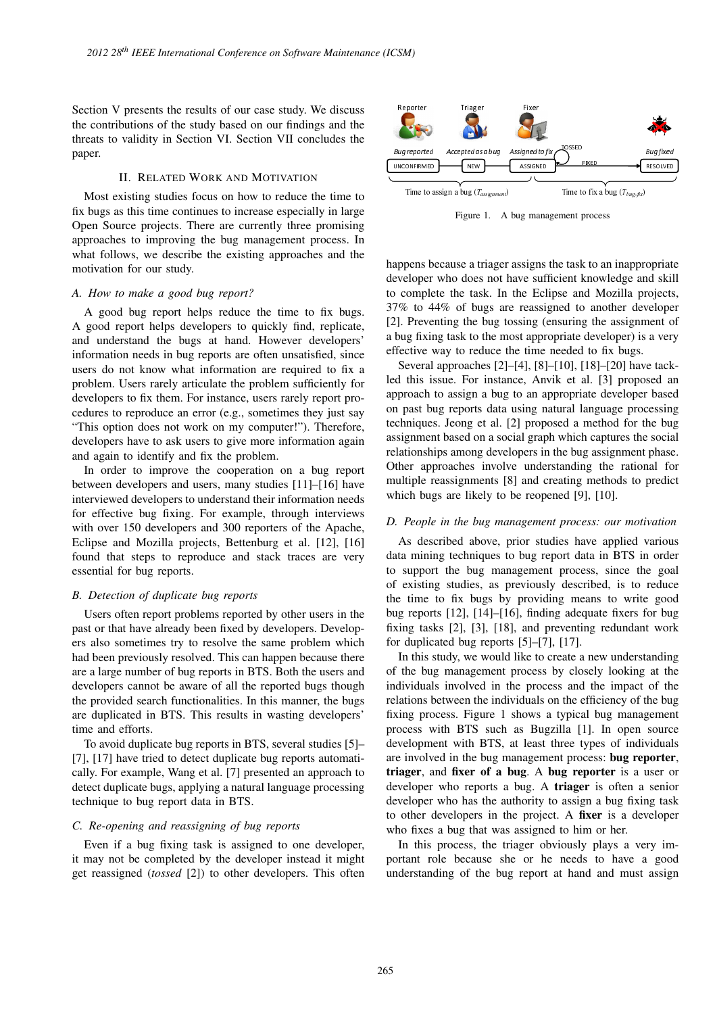Section V presents the results of our case study. We discuss the contributions of the study based on our findings and the threats to validity in Section VI. Section VII concludes the paper.

## II. RELATED WORK AND MOTIVATION

Most existing studies focus on how to reduce the time to fix bugs as this time continues to increase especially in large Open Source projects. There are currently three promising approaches to improving the bug management process. In what follows, we describe the existing approaches and the motivation for our study.

#### *A. How to make a good bug report?*

A good bug report helps reduce the time to fix bugs. A good report helps developers to quickly find, replicate, and understand the bugs at hand. However developers' information needs in bug reports are often unsatisfied, since users do not know what information are required to fix a problem. Users rarely articulate the problem sufficiently for developers to fix them. For instance, users rarely report procedures to reproduce an error (e.g., sometimes they just say "This option does not work on my computer!"). Therefore, developers have to ask users to give more information again and again to identify and fix the problem.

In order to improve the cooperation on a bug report between developers and users, many studies [11]–[16] have interviewed developers to understand their information needs for effective bug fixing. For example, through interviews with over 150 developers and 300 reporters of the Apache, Eclipse and Mozilla projects, Bettenburg et al. [12], [16] found that steps to reproduce and stack traces are very essential for bug reports.

## *B. Detection of duplicate bug reports*

Users often report problems reported by other users in the past or that have already been fixed by developers. Developers also sometimes try to resolve the same problem which had been previously resolved. This can happen because there are a large number of bug reports in BTS. Both the users and developers cannot be aware of all the reported bugs though the provided search functionalities. In this manner, the bugs are duplicated in BTS. This results in wasting developers' time and efforts.

To avoid duplicate bug reports in BTS, several studies [5]– [7], [17] have tried to detect duplicate bug reports automatically. For example, Wang et al. [7] presented an approach to detect duplicate bugs, applying a natural language processing technique to bug report data in BTS.

## *C. Re-opening and reassigning of bug reports*

Even if a bug fixing task is assigned to one developer, it may not be completed by the developer instead it might get reassigned (*tossed* [2]) to other developers. This often



Figure 1. A bug management process

happens because a triager assigns the task to an inappropriate developer who does not have sufficient knowledge and skill to complete the task. In the Eclipse and Mozilla projects, 37% to 44% of bugs are reassigned to another developer [2]. Preventing the bug tossing (ensuring the assignment of a bug fixing task to the most appropriate developer) is a very effective way to reduce the time needed to fix bugs.

Several approaches [2]–[4], [8]–[10], [18]–[20] have tackled this issue. For instance, Anvik et al. [3] proposed an approach to assign a bug to an appropriate developer based on past bug reports data using natural language processing techniques. Jeong et al. [2] proposed a method for the bug assignment based on a social graph which captures the social relationships among developers in the bug assignment phase. Other approaches involve understanding the rational for multiple reassignments [8] and creating methods to predict which bugs are likely to be reopened [9], [10].

## *D. People in the bug management process: our motivation*

As described above, prior studies have applied various data mining techniques to bug report data in BTS in order to support the bug management process, since the goal of existing studies, as previously described, is to reduce the time to fix bugs by providing means to write good bug reports [12], [14]–[16], finding adequate fixers for bug fixing tasks [2], [3], [18], and preventing redundant work for duplicated bug reports [5]–[7], [17].

In this study, we would like to create a new understanding of the bug management process by closely looking at the individuals involved in the process and the impact of the relations between the individuals on the efficiency of the bug fixing process. Figure 1 shows a typical bug management process with BTS such as Bugzilla [1]. In open source development with BTS, at least three types of individuals are involved in the bug management process: bug reporter, triager, and fixer of a bug. A bug reporter is a user or developer who reports a bug. A triager is often a senior developer who has the authority to assign a bug fixing task to other developers in the project. A fixer is a developer who fixes a bug that was assigned to him or her.

In this process, the triager obviously plays a very important role because she or he needs to have a good understanding of the bug report at hand and must assign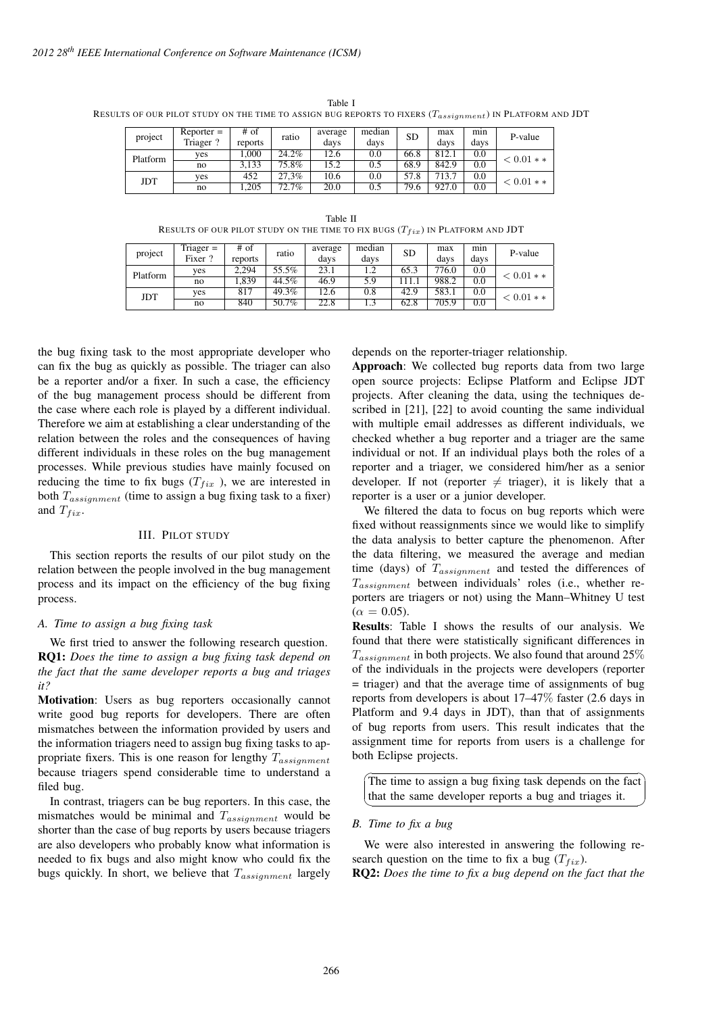Table I

RESULTS OF OUR PILOT STUDY ON THE TIME TO ASSIGN BUG REPORTS TO FIXERS  $(T_{assignment})$  IN PLATFORM AND JDT

|  | project    | $Reporter =$ | # of    | ratio       | average | median | SD   | max   | min  | P-value    |
|--|------------|--------------|---------|-------------|---------|--------|------|-------|------|------------|
|  |            | Triager?     | reports |             | davs    | davs   |      | davs  | davs |            |
|  | Platform   | yes          | .000    | 24.2%       | 12.6    | 0.0    | 66.8 | 812.  | 0.0  | $< 0.01**$ |
|  |            | no           | 3.133   | $75.8\%$    | 15.2    | 0.5    | 68.9 | 842.9 | 0.0  |            |
|  | <b>JDT</b> | yes          | 452     | 27.3%       | 10.6    | 0.0    | 57.8 | 713.7 | 0.0  | $< 0.01**$ |
|  |            | no           | .205    | $7\%$<br>72 | 20.0    | 0.5    | 79.6 | 927   | 0.0  |            |

Table II RESULTS OF OUR PILOT STUDY ON THE TIME TO FIX BUGS  $(T_{fix})$  in Platform and JDT

| project    | $Triager =$<br>Fixer? | $#$ of<br>reports | ratio | average<br>davs | median<br>days | <b>SD</b> | max<br>davs | min<br>davs | P-value    |
|------------|-----------------------|-------------------|-------|-----------------|----------------|-----------|-------------|-------------|------------|
| Platform   | yes                   | 2.294             | 55.5% | 23.1            |                | 65.3      | 776.0       | 0.0         | $< 0.01**$ |
|            | no                    | .839              | 44.5% | 46.9            | 5.9            | 11.       | 988.2       | 0.0         |            |
| <b>JDT</b> | ves                   | 817               | 49.3% | 12.6            | 0.8            | 42.9      | 583.1       | 0.0         | $< 0.01**$ |
|            | no                    | 840               | 50.7% | 22.8            |                | 62.8      | 705.9       | 0.0         |            |

the bug fixing task to the most appropriate developer who can fix the bug as quickly as possible. The triager can also be a reporter and/or a fixer. In such a case, the efficiency of the bug management process should be different from the case where each role is played by a different individual. Therefore we aim at establishing a clear understanding of the relation between the roles and the consequences of having different individuals in these roles on the bug management processes. While previous studies have mainly focused on reducing the time to fix bugs  $(T_{fix})$ , we are interested in both  $T_{assignment}$  (time to assign a bug fixing task to a fixer) and  $T_{fix}$ .

## III. PILOT STUDY

This section reports the results of our pilot study on the relation between the people involved in the bug management process and its impact on the efficiency of the bug fixing process.

#### *A. Time to assign a bug fixing task*

We first tried to answer the following research question. RQ1: *Does the time to assign a bug fixing task depend on the fact that the same developer reports a bug and triages it?*

Motivation: Users as bug reporters occasionally cannot write good bug reports for developers. There are often mismatches between the information provided by users and the information triagers need to assign bug fixing tasks to appropriate fixers. This is one reason for lengthy  $T_{assignment}$ because triagers spend considerable time to understand a filed bug.

In contrast, triagers can be bug reporters. In this case, the mismatches would be minimal and  $T_{assignment}$  would be shorter than the case of bug reports by users because triagers are also developers who probably know what information is needed to fix bugs and also might know who could fix the bugs quickly. In short, we believe that  $T_{assignment}$  largely

depends on the reporter-triager relationship.

Approach: We collected bug reports data from two large open source projects: Eclipse Platform and Eclipse JDT projects. After cleaning the data, using the techniques described in [21], [22] to avoid counting the same individual with multiple email addresses as different individuals, we checked whether a bug reporter and a triager are the same individual or not. If an individual plays both the roles of a reporter and a triager, we considered him/her as a senior developer. If not (reporter  $\neq$  triager), it is likely that a reporter is a user or a junior developer.

We filtered the data to focus on bug reports which were fixed without reassignments since we would like to simplify the data analysis to better capture the phenomenon. After the data filtering, we measured the average and median time (days) of  $T_{assignment}$  and tested the differences of  $T_{assignment}$  between individuals' roles (i.e., whether reporters are triagers or not) using the Mann–Whitney U test  $(\alpha = 0.05)$ .

Results: Table I shows the results of our analysis. We found that there were statistically significant differences in  $T_{assignment}$  in both projects. We also found that around 25% of the individuals in the projects were developers (reporter = triager) and that the average time of assignments of bug reports from developers is about 17–47% faster (2.6 days in Platform and 9.4 days in JDT), than that of assignments of bug reports from users. This result indicates that the assignment time for reports from users is a challenge for both Eclipse projects.

The time to assign a bug fixing task depends on the fact ✡ that the same developer reports a bug and triages it.

✟

✠

## *B. Time to fix a bug*

We were also interested in answering the following research question on the time to fix a bug  $(T_{fix})$ . RQ2: *Does the time to fix a bug depend on the fact that the*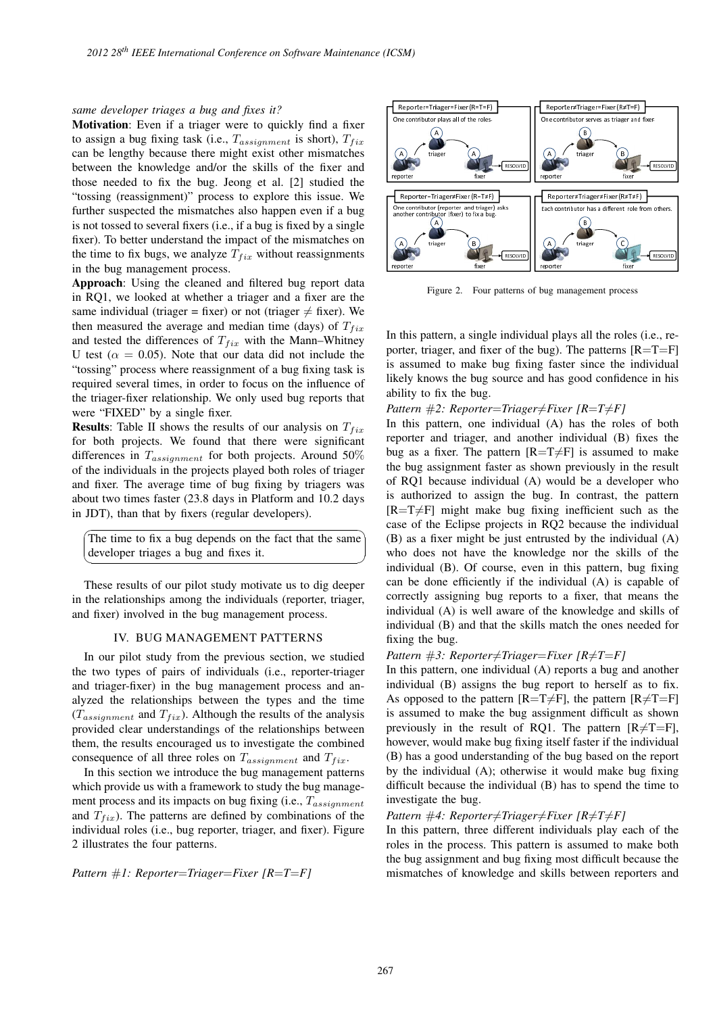## *same developer triages a bug and fixes it?*

Motivation: Even if a triager were to quickly find a fixer to assign a bug fixing task (i.e.,  $T_{assignment}$  is short),  $T_{fix}$ can be lengthy because there might exist other mismatches between the knowledge and/or the skills of the fixer and those needed to fix the bug. Jeong et al. [2] studied the "tossing (reassignment)" process to explore this issue. We further suspected the mismatches also happen even if a bug is not tossed to several fixers (i.e., if a bug is fixed by a single fixer). To better understand the impact of the mismatches on the time to fix bugs, we analyze  $T_{fix}$  without reassignments in the bug management process.

Approach: Using the cleaned and filtered bug report data in RQ1, we looked at whether a triager and a fixer are the same individual (triager = fixer) or not (triager  $\neq$  fixer). We then measured the average and median time (days) of  $T_{fix}$ and tested the differences of  $T_{fix}$  with the Mann–Whitney U test ( $\alpha = 0.05$ ). Note that our data did not include the "tossing" process where reassignment of a bug fixing task is required several times, in order to focus on the influence of the triager-fixer relationship. We only used bug reports that were "FIXED" by a single fixer.

**Results:** Table II shows the results of our analysis on  $T_{fix}$ for both projects. We found that there were significant differences in  $T_{assignment}$  for both projects. Around 50% of the individuals in the projects played both roles of triager and fixer. The average time of bug fixing by triagers was about two times faster (23.8 days in Platform and 10.2 days in JDT), than that by fixers (regular developers).



These results of our pilot study motivate us to dig deeper in the relationships among the individuals (reporter, triager, and fixer) involved in the bug management process.

#### IV. BUG MANAGEMENT PATTERNS

In our pilot study from the previous section, we studied the two types of pairs of individuals (i.e., reporter-triager and triager-fixer) in the bug management process and analyzed the relationships between the types and the time  $(T_{assignment}$  and  $T_{fix}$ ). Although the results of the analysis provided clear understandings of the relationships between them, the results encouraged us to investigate the combined consequence of all three roles on  $T_{assignment}$  and  $T_{fix}$ .

In this section we introduce the bug management patterns which provide us with a framework to study the bug management process and its impacts on bug fixing (i.e.,  $T_{assignment}$ and  $T_{fix}$ ). The patterns are defined by combinations of the individual roles (i.e., bug reporter, triager, and fixer). Figure 2 illustrates the four patterns.

*Pattern* #*1: Reporter*=*Triager*=*Fixer [R*=*T*=*F]*



Figure 2. Four patterns of bug management process

In this pattern, a single individual plays all the roles (i.e., reporter, triager, and fixer of the bug). The patterns  $[R = T = F]$ is assumed to make bug fixing faster since the individual likely knows the bug source and has good confidence in his ability to fix the bug.

#### *Pattern*  $\#2$ : *Reporter*=*Triager* $\neq$ *Fixer* [*R*=*T* $\neq$ *F*]

In this pattern, one individual (A) has the roles of both reporter and triager, and another individual (B) fixes the bug as a fixer. The pattern  $[R=T\neq F]$  is assumed to make the bug assignment faster as shown previously in the result of RQ1 because individual (A) would be a developer who is authorized to assign the bug. In contrast, the pattern  $[R=T\neq F]$  might make bug fixing inefficient such as the case of the Eclipse projects in RQ2 because the individual (B) as a fixer might be just entrusted by the individual (A) who does not have the knowledge nor the skills of the individual (B). Of course, even in this pattern, bug fixing can be done efficiently if the individual (A) is capable of correctly assigning bug reports to a fixer, that means the individual (A) is well aware of the knowledge and skills of individual (B) and that the skills match the ones needed for fixing the bug.

#### *Pattern*  $\#3$ *: Reporter* $\neq$ *Triager*=*Fixer* [*R* $\neq$ *T*=*F*]

In this pattern, one individual (A) reports a bug and another individual (B) assigns the bug report to herself as to fix. As opposed to the pattern  $[R=T\neq F]$ , the pattern  $[R\neq T=F]$ is assumed to make the bug assignment difficult as shown previously in the result of RQ1. The pattern  $[R \neq T=F]$ , however, would make bug fixing itself faster if the individual (B) has a good understanding of the bug based on the report by the individual (A); otherwise it would make bug fixing difficult because the individual (B) has to spend the time to investigate the bug.

## *Pattern*  $#4$ *: Reporter* $\neq$ *Triager* $\neq$ *Fixer* [*R* $\neq$ *T* $\neq$ *F*]

In this pattern, three different individuals play each of the roles in the process. This pattern is assumed to make both the bug assignment and bug fixing most difficult because the mismatches of knowledge and skills between reporters and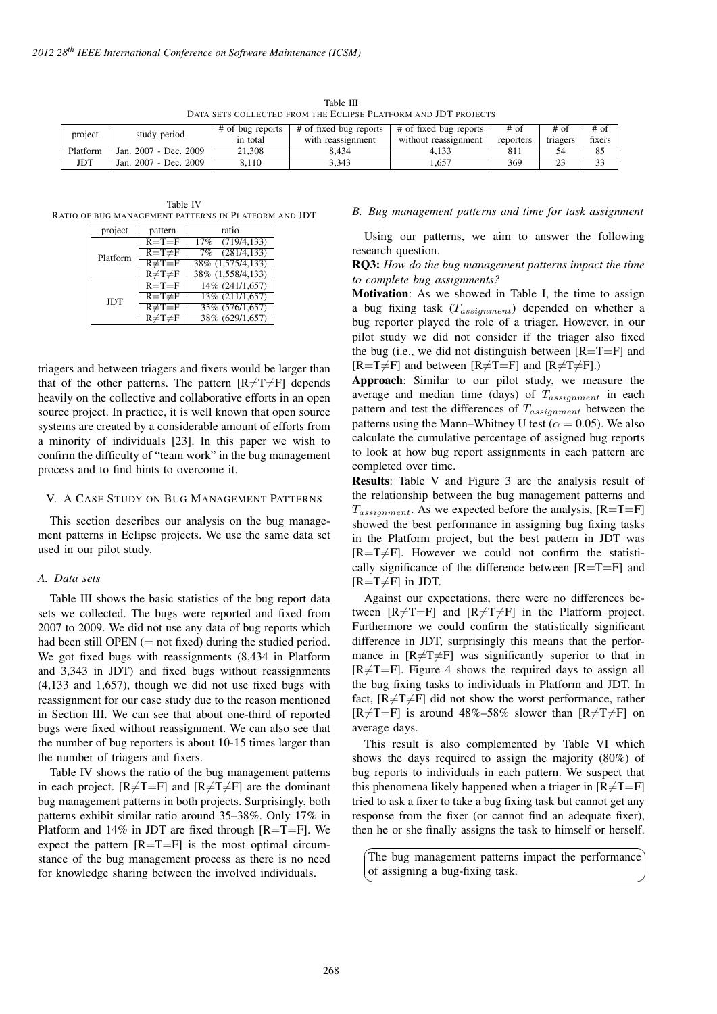| Table III                                                      |  |
|----------------------------------------------------------------|--|
| DATA SETS COLLECTED FROM THE ECLIPSE PLATFORM AND JDT PROJECTS |  |

|          |                               | # of bug reports<br>study period |                   | # of fixed bug reports | # of      | # of     | # ot   |
|----------|-------------------------------|----------------------------------|-------------------|------------------------|-----------|----------|--------|
| project  |                               | in total                         | with reassignment | without reassignment   | reporters | triagers | fixers |
| Platform | 2009<br>$2007 - Dec.$<br>Jan. | 21.308                           | 8.434             | 4.133                  |           |          | 85     |
| JDT      | Jan. 2007 - Dec. 2009         | 8.110                            | 3,343             | 657                    | 369       |          | $\sim$ |

Table IV RATIO OF BUG MANAGEMENT PATTERNS IN PLATFORM AND JDT

| project    | pattern           | ratio             |
|------------|-------------------|-------------------|
|            | $R = T = F$       | 17\% (719/4,133)  |
| Platform   | $R = T \neq F$    | 7% (281/4,133)    |
|            | $R \neq T = F$    | 38% (1,575/4,133) |
|            | $R \neq T \neq F$ | 38% (1,558/4,133) |
|            | $R = T = F$       | 14% (241/1,657)   |
| <b>JDT</b> | $R = T \neq F$    | 13% (211/1,657)   |
|            | $R \neq T = F$    | 35% (576/1,657)   |
|            | $R \neq T \neq F$ | 38% (629/1,657)   |

triagers and between triagers and fixers would be larger than that of the other patterns. The pattern  $[R \neq T \neq F]$  depends heavily on the collective and collaborative efforts in an open source project. In practice, it is well known that open source systems are created by a considerable amount of efforts from a minority of individuals [23]. In this paper we wish to confirm the difficulty of "team work" in the bug management process and to find hints to overcome it.

## V. A CASE STUDY ON BUG MANAGEMENT PATTERNS

This section describes our analysis on the bug management patterns in Eclipse projects. We use the same data set used in our pilot study.

## *A. Data sets*

Table III shows the basic statistics of the bug report data sets we collected. The bugs were reported and fixed from 2007 to 2009. We did not use any data of bug reports which had been still OPEN  $(= not fixed)$  during the studied period. We got fixed bugs with reassignments (8,434 in Platform and 3,343 in JDT) and fixed bugs without reassignments (4,133 and 1,657), though we did not use fixed bugs with reassignment for our case study due to the reason mentioned in Section III. We can see that about one-third of reported bugs were fixed without reassignment. We can also see that the number of bug reporters is about 10-15 times larger than the number of triagers and fixers.

Table IV shows the ratio of the bug management patterns in each project.  $[R \neq T=F]$  and  $[R \neq T \neq F]$  are the dominant bug management patterns in both projects. Surprisingly, both patterns exhibit similar ratio around 35–38%. Only 17% in Platform and 14% in JDT are fixed through  $[R = T = F]$ . We expect the pattern  $[R = T = F]$  is the most optimal circumstance of the bug management process as there is no need for knowledge sharing between the involved individuals.

## *B. Bug management patterns and time for task assignment*

Using our patterns, we aim to answer the following research question.

## RQ3: *How do the bug management patterns impact the time to complete bug assignments?*

Motivation: As we showed in Table I, the time to assign a bug fixing task  $(T_{assignment})$  depended on whether a bug reporter played the role of a triager. However, in our pilot study we did not consider if the triager also fixed the bug (i.e., we did not distinguish between  $[R = T = F]$  and  $[R=T\neq F]$  and between  $[R\neq T=F]$  and  $[R\neq T\neq F]$ .)

Approach: Similar to our pilot study, we measure the average and median time (days) of  $T_{assignment}$  in each pattern and test the differences of  $T_{assignment}$  between the patterns using the Mann–Whitney U test ( $\alpha = 0.05$ ). We also calculate the cumulative percentage of assigned bug reports to look at how bug report assignments in each pattern are completed over time.

Results: Table V and Figure 3 are the analysis result of the relationship between the bug management patterns and  $T_{assignment}$ . As we expected before the analysis,  $[R = T = F]$ showed the best performance in assigning bug fixing tasks in the Platform project, but the best pattern in JDT was  $[R=T\neq F]$ . However we could not confirm the statistically significance of the difference between  $[R = T = F]$  and  $[R=T\neq F]$  in JDT.

Against our expectations, there were no differences between  $[R \neq T=F]$  and  $[R \neq T \neq F]$  in the Platform project. Furthermore we could confirm the statistically significant difference in JDT, surprisingly this means that the performance in  $[R \neq T \neq F]$  was significantly superior to that in  $[R \neq T=F]$ . Figure 4 shows the required days to assign all the bug fixing tasks to individuals in Platform and JDT. In fact,  $[R \neq T \neq F]$  did not show the worst performance, rather  $[R \neq T=F]$  is around 48%–58% slower than  $[R \neq T \neq F]$  on average days.

This result is also complemented by Table VI which shows the days required to assign the majority (80%) of bug reports to individuals in each pattern. We suspect that this phenomena likely happened when a triager in  $[R \neq T=F]$ tried to ask a fixer to take a bug fixing task but cannot get any response from the fixer (or cannot find an adequate fixer), then he or she finally assigns the task to himself or herself.

The bug management patterns impact the performance  $\searrow$ of assigning a bug-fixing task.

 $\mathbf{a}^{\dagger}$ 

 $^{\prime}$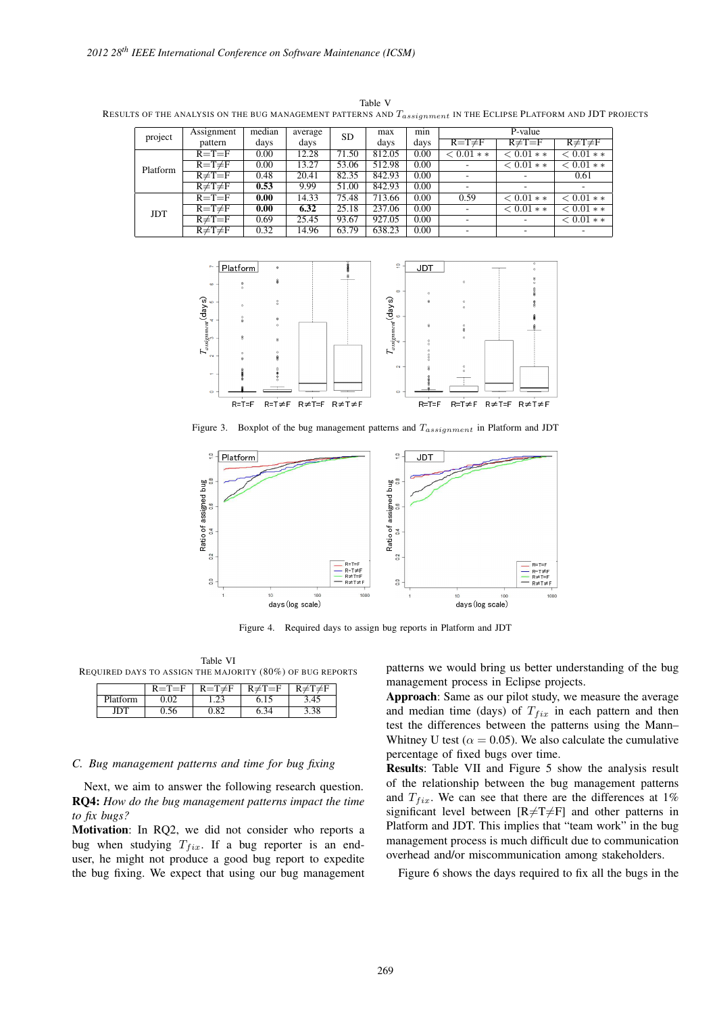| project    | Assignment        | median | average | <b>SD</b> | max    | min  | P-value        |                |                   |  |
|------------|-------------------|--------|---------|-----------|--------|------|----------------|----------------|-------------------|--|
|            | pattern           | days   | days    |           | days   | days | $R = T \neq F$ | $R \neq T = F$ | $R \neq T \neq F$ |  |
|            | $R = T = F$       | 0.00   | 12.28   | 71.50     | 812.05 | 0.00 | $< 0.01**$     | $< 0.01**$     | $< 0.01**$        |  |
| Platform   | $R = T \neq F$    | 0.00   | 13.27   | 53.06     | 512.98 | 0.00 |                | $< 0.01**$     | $< 0.01**$        |  |
|            | $R \neq T = F$    | 0.48   | 20.41   | 82.35     | 842.93 | 0.00 |                |                | 0.61              |  |
|            | $R \neq T \neq F$ | 0.53   | 9.99    | 51.00     | 842.93 | 0.00 |                | ۰              | ٠                 |  |
|            | $R = T = F$       | 0.00   | 14.33   | 75.48     | 713.66 | 0.00 | 0.59           | $< 0.01**$     | $< 0.01**$        |  |
| <b>JDT</b> | $R = T \neq F$    | 0.00   | 6.32    | 25.18     | 237.06 | 0.00 |                | $< 0.01**$     | $< 0.01**$        |  |
|            | $R \neq T = F$    | 0.69   | 25.45   | 93.67     | 927.05 | 0.00 |                |                | $< 0.01**$        |  |
|            | $R \neq T \neq F$ | 0.32   | 14.96   | 63.79     | 638.23 | 0.00 |                | ۰              |                   |  |

Table V RESULTS OF THE ANALYSIS ON THE BUG MANAGEMENT PATTERNS AND  $T_{assignment}$  in the ECLIPSE PLATFORM AND JDT PROJECTS



Figure 3. Boxplot of the bug management patterns and  $T_{assignment}$  in Platform and JDT



Figure 4. Required days to assign bug reports in Platform and JDT

Table VI REQUIRED DAYS TO ASSIGN THE MAJORITY (80%) OF BUG REPORTS

|          |       | $ -$             | .≠T=F |      |
|----------|-------|------------------|-------|------|
| 'latform | .v∠   | $\sim$<br>ن کے ب |       |      |
|          | v. Ju | ◡.◡∠             | 0.34  | J.J0 |

#### *C. Bug management patterns and time for bug fixing*

Next, we aim to answer the following research question. RQ4: *How do the bug management patterns impact the time to fix bugs?*

Motivation: In RQ2, we did not consider who reports a bug when studying  $T_{fix}$ . If a bug reporter is an enduser, he might not produce a good bug report to expedite the bug fixing. We expect that using our bug management

patterns we would bring us better understanding of the bug management process in Eclipse projects.

Approach: Same as our pilot study, we measure the average and median time (days) of  $T_{fix}$  in each pattern and then test the differences between the patterns using the Mann– Whitney U test ( $\alpha = 0.05$ ). We also calculate the cumulative percentage of fixed bugs over time.

Results: Table VII and Figure 5 show the analysis result of the relationship between the bug management patterns and  $T_{fix}$ . We can see that there are the differences at 1% significant level between  $[R \neq T \neq F]$  and other patterns in Platform and JDT. This implies that "team work" in the bug management process is much difficult due to communication overhead and/or miscommunication among stakeholders.

Figure 6 shows the days required to fix all the bugs in the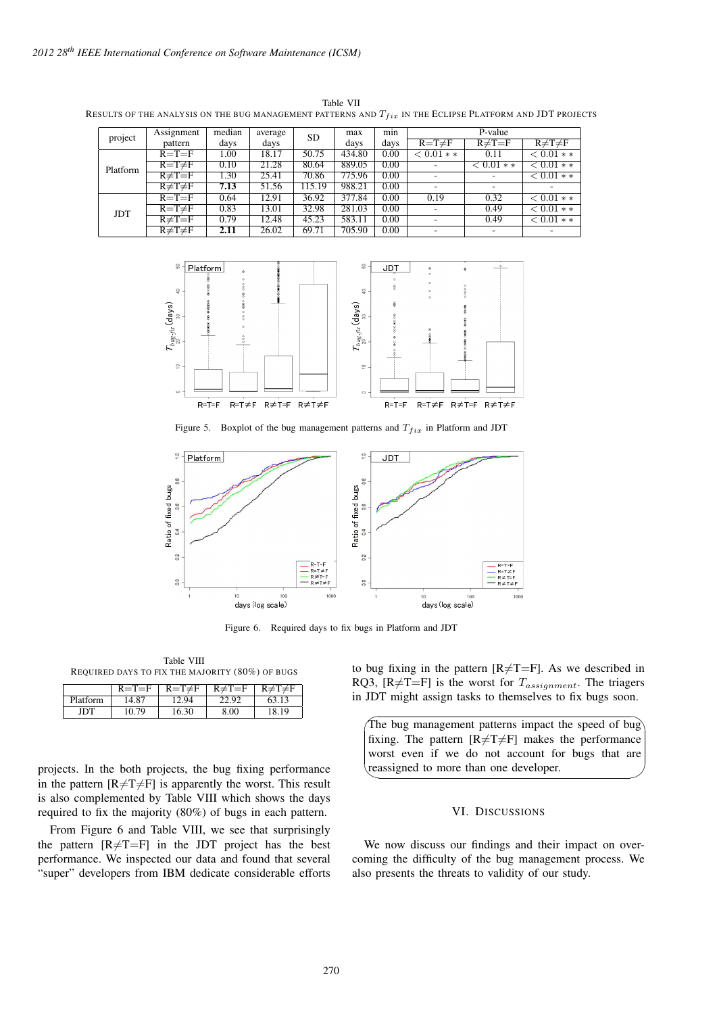| project    | Assignment        | median            | average | <b>SD</b> | max    | min  |                          | P-value        |                   |
|------------|-------------------|-------------------|---------|-----------|--------|------|--------------------------|----------------|-------------------|
|            | pattern           | days              | days    |           | days   | days | $R = T \neq F$           | $R \neq T = F$ | $R \neq T \neq F$ |
|            | $R = T = F$       | 1.00              | 18.17   | 50.75     | 434.80 | 0.00 | $< 0.01**$               | 0.11           | $< 0.01**$        |
| Platform   | $R = T \neq F$    | 0.10              | 21.28   | 80.64     | 889.05 | 0.00 | $\overline{\phantom{a}}$ | $< 0.01**$     | $< 0.01**$        |
|            | $R \neq T = F$    | 1.30              | 25.41   | 70.86     | 775.96 | 0.00 | $\overline{\phantom{a}}$ |                | $< 0.01**$        |
|            | $R \neq T \neq F$ | $7.\overline{13}$ | 51.56   | 115.19    | 988.21 | 0.00 |                          |                |                   |
|            | $R = T = F$       | 0.64              | 12.91   | 36.92     | 377.84 | 0.00 | 0.19                     | 0.32           | $< 0.01**$        |
| <b>JDT</b> | $R = T \neq F$    | 0.83              | 13.01   | 32.98     | 281.03 | 0.00 | ٠                        | 0.49           | $< 0.01**$        |
|            | $R \neq T = F$    | 0.79              | 12.48   | 45.23     | 583.11 | 0.00 |                          | 0.49           | $< 0.01**$        |
|            | $R \neq T \neq F$ | 2.11              | 26.02   | 69.71     | 705.90 | 0.00 | ٠                        |                |                   |

Table VII RESULTS OF THE ANALYSIS ON THE BUG MANAGEMENT PATTERNS AND  $T_{fix}$  in the ECLIPSE PLATFORM AND JDT PROJECTS



Figure 5. Boxplot of the bug management patterns and  $T_{fix}$  in Platform and JDT



Figure 6. Required days to fix bugs in Platform and JDT

Table VIII REQUIRED DAYS TO FIX THE MAJORITY (80%) OF BUGS

|          | $R = T = F$ |       | $R \neq T = F$ |       |
|----------|-------------|-------|----------------|-------|
| Platform | 14.87       | 2.94  | 22.92          | 63.13 |
| JDT      | 10.79       | 16.30 | 3.00           | 18.19 |

projects. In the both projects, the bug fixing performance in the pattern  $[R \neq T \neq F]$  is apparently the worst. This result is also complemented by Table VIII which shows the days required to fix the majority (80%) of bugs in each pattern.

From Figure 6 and Table VIII, we see that surprisingly the pattern  $[R \neq T=F]$  in the JDT project has the best performance. We inspected our data and found that several "super" developers from IBM dedicate considerable efforts to bug fixing in the pattern  $[R \neq T=F]$ . As we described in RQ3,  $[R \neq T=F]$  is the worst for  $T_{assignment}$ . The triagers in JDT might assign tasks to themselves to fix bugs soon.

The bug management patterns impact the speed of bug  $\overbrace{\phantom{aaaa}}$ fixing. The pattern  $[R \neq T \neq F]$  makes the performance worst even if we do not account for bugs that are reassigned to more than one developer.

## VI. DISCUSSIONS

We now discuss our findings and their impact on overcoming the difficulty of the bug management process. We also presents the threats to validity of our study.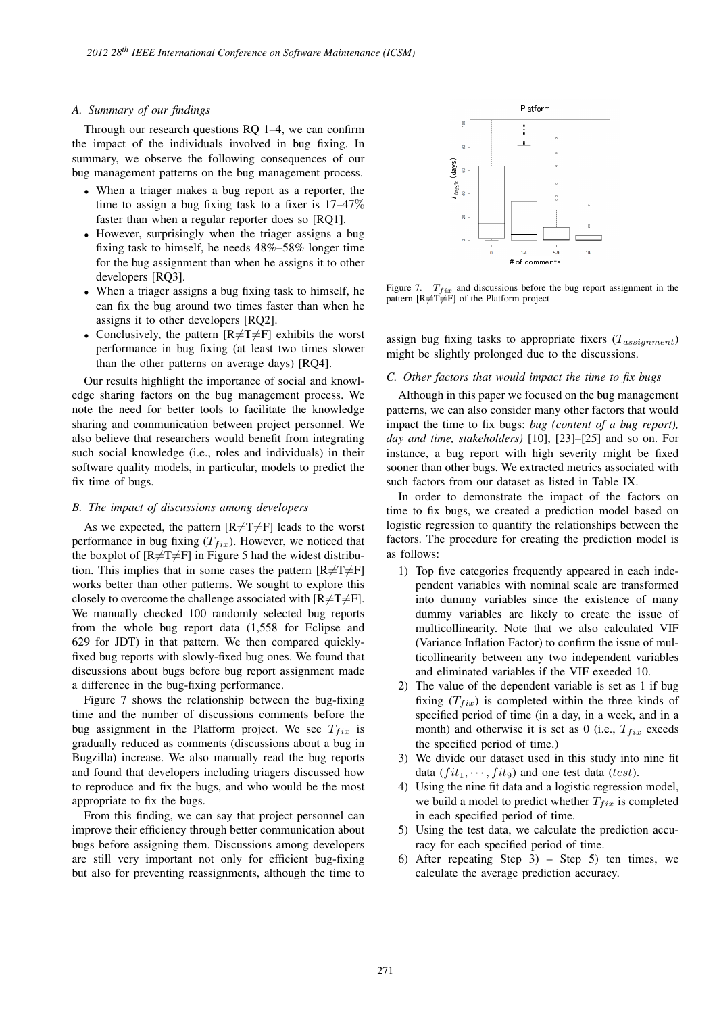## *A. Summary of our findings*

Through our research questions RQ 1–4, we can confirm the impact of the individuals involved in bug fixing. In summary, we observe the following consequences of our bug management patterns on the bug management process.

- When a triager makes a bug report as a reporter, the time to assign a bug fixing task to a fixer is 17–47% faster than when a regular reporter does so [RQ1].
- However, surprisingly when the triager assigns a bug fixing task to himself, he needs 48%–58% longer time for the bug assignment than when he assigns it to other developers [RQ3].
- When a triager assigns a bug fixing task to himself, he can fix the bug around two times faster than when he assigns it to other developers [RQ2].
- Conclusively, the pattern  $[R \neq T \neq F]$  exhibits the worst performance in bug fixing (at least two times slower than the other patterns on average days) [RQ4].

Our results highlight the importance of social and knowledge sharing factors on the bug management process. We note the need for better tools to facilitate the knowledge sharing and communication between project personnel. We also believe that researchers would benefit from integrating such social knowledge (i.e., roles and individuals) in their software quality models, in particular, models to predict the fix time of bugs.

## *B. The impact of discussions among developers*

As we expected, the pattern  $[R \neq T \neq F]$  leads to the worst performance in bug fixing  $(T_{fix})$ . However, we noticed that the boxplot of  $[R \neq T \neq F]$  in Figure 5 had the widest distribution. This implies that in some cases the pattern  $[R \neq T \neq F]$ works better than other patterns. We sought to explore this closely to overcome the challenge associated with [ $R \neq T \neq F$ ]. We manually checked 100 randomly selected bug reports from the whole bug report data (1,558 for Eclipse and 629 for JDT) in that pattern. We then compared quicklyfixed bug reports with slowly-fixed bug ones. We found that discussions about bugs before bug report assignment made a difference in the bug-fixing performance.

Figure 7 shows the relationship between the bug-fixing time and the number of discussions comments before the bug assignment in the Platform project. We see  $T_{fix}$  is gradually reduced as comments (discussions about a bug in Bugzilla) increase. We also manually read the bug reports and found that developers including triagers discussed how to reproduce and fix the bugs, and who would be the most appropriate to fix the bugs.

From this finding, we can say that project personnel can improve their efficiency through better communication about bugs before assigning them. Discussions among developers are still very important not only for efficient bug-fixing but also for preventing reassignments, although the time to



Figure 7.  $T_{fix}$  and discussions before the bug report assignment in the pattern  $[R \neq T \neq F]$  of the Platform project

assign bug fixing tasks to appropriate fixers  $(T_{assignment})$ might be slightly prolonged due to the discussions.

## *C. Other factors that would impact the time to fix bugs*

Although in this paper we focused on the bug management patterns, we can also consider many other factors that would impact the time to fix bugs: *bug (content of a bug report), day and time, stakeholders)* [10], [23]–[25] and so on. For instance, a bug report with high severity might be fixed sooner than other bugs. We extracted metrics associated with such factors from our dataset as listed in Table IX.

In order to demonstrate the impact of the factors on time to fix bugs, we created a prediction model based on logistic regression to quantify the relationships between the factors. The procedure for creating the prediction model is as follows:

- 1) Top five categories frequently appeared in each independent variables with nominal scale are transformed into dummy variables since the existence of many dummy variables are likely to create the issue of multicollinearity. Note that we also calculated VIF (Variance Inflation Factor) to confirm the issue of multicollinearity between any two independent variables and eliminated variables if the VIF exeeded 10.
- 2) The value of the dependent variable is set as 1 if bug fixing  $(T_{fix})$  is completed within the three kinds of specified period of time (in a day, in a week, and in a month) and otherwise it is set as 0 (i.e.,  $T_{fix}$  exeeds the specified period of time.)
- 3) We divide our dataset used in this study into nine fit data ( $fit_1, \dots, fit_9$ ) and one test data (test).
- 4) Using the nine fit data and a logistic regression model, we build a model to predict whether  $T_{fix}$  is completed in each specified period of time.
- 5) Using the test data, we calculate the prediction accuracy for each specified period of time.
- 6) After repeating Step 3) Step 5) ten times, we calculate the average prediction accuracy.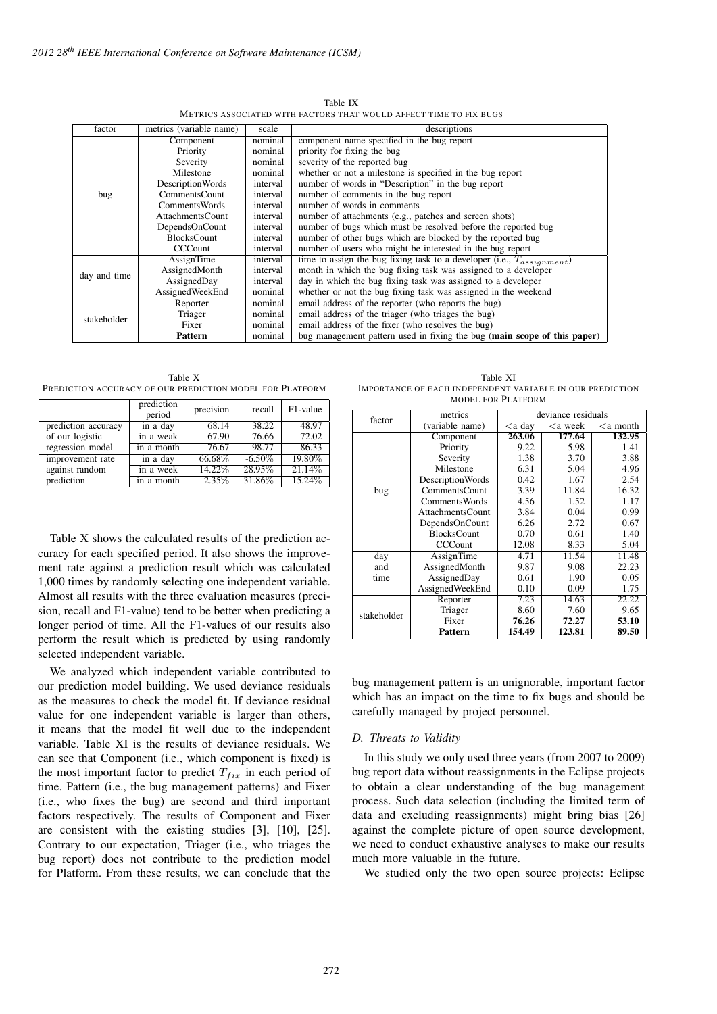|                                                                    | Table IX |  |  |
|--------------------------------------------------------------------|----------|--|--|
| METRICS ASSOCIATED WITH FACTORS THAT WOULD AFFECT TIME TO FIX BUGS |          |  |  |

| factor       | metrics (variable name)        | scale    | descriptions                                                                |  |  |
|--------------|--------------------------------|----------|-----------------------------------------------------------------------------|--|--|
|              | Component                      | nominal  | component name specified in the bug report                                  |  |  |
|              | Priority                       | nominal  | priority for fixing the bug                                                 |  |  |
|              | Severity                       | nominal  | severity of the reported bug                                                |  |  |
|              | Milestone                      | nominal  | whether or not a milestone is specified in the bug report                   |  |  |
|              | DescriptionWords               | interval | number of words in "Description" in the bug report                          |  |  |
| bug          | <b>CommentsCount</b>           | interval | number of comments in the bug report                                        |  |  |
|              | Comments Words                 | interval | number of words in comments                                                 |  |  |
|              | <b>AttachmentsCount</b>        | interval | number of attachments (e.g., patches and screen shots)                      |  |  |
|              | DependsOnCount                 | interval | number of bugs which must be resolved before the reported bug               |  |  |
|              | <b>BlocksCount</b><br>interval |          | number of other bugs which are blocked by the reported bug                  |  |  |
|              | <b>CCCount</b>                 | interval | number of users who might be interested in the bug report                   |  |  |
|              | AssignTime                     | interval | time to assign the bug fixing task to a developer (i.e., $T_{assignment}$ ) |  |  |
| day and time | AssignedMonth                  | interval | month in which the bug fixing task was assigned to a developer              |  |  |
|              | AssignedDay                    | interval | day in which the bug fixing task was assigned to a developer                |  |  |
|              | AssignedWeekEnd                | nominal  | whether or not the bug fixing task was assigned in the weekend              |  |  |
|              | Reporter                       | nominal  | email address of the reporter (who reports the bug)                         |  |  |
| stakeholder  | Triager                        | nominal  | email address of the triager (who triages the bug)                          |  |  |
|              | Fixer                          | nominal  | email address of the fixer (who resolves the bug)                           |  |  |
|              | <b>Pattern</b>                 | nominal  | bug management pattern used in fixing the bug (main scope of this paper)    |  |  |

Table X PREDICTION ACCURACY OF OUR PREDICTION MODEL FOR PLATFORM

|                     | prediction<br>period | precision | recall    | F <sub>1</sub> -value |
|---------------------|----------------------|-----------|-----------|-----------------------|
| prediction accuracy | in a day             | 68.14     | 38.22     | 48.97                 |
| of our logistic     | in a weak            | 67.90     | 76.66     | 72.02                 |
| regression model    | in a month           | 76.67     | 98.77     | 86.33                 |
| improvement rate    | in a day             | 66.68%    | $-6.50\%$ | 19.80%                |
| against random      | in a week            | 14.22%    | 28.95%    | 21.14\%               |
| prediction          | in a month           | 2.35\%    | 31.86%    | 15.24\%               |

Table X shows the calculated results of the prediction accuracy for each specified period. It also shows the improvement rate against a prediction result which was calculated 1,000 times by randomly selecting one independent variable. Almost all results with the three evaluation measures (precision, recall and F1-value) tend to be better when predicting a longer period of time. All the F1-values of our results also perform the result which is predicted by using randomly selected independent variable.

We analyzed which independent variable contributed to our prediction model building. We used deviance residuals as the measures to check the model fit. If deviance residual value for one independent variable is larger than others, it means that the model fit well due to the independent variable. Table XI is the results of deviance residuals. We can see that Component (i.e., which component is fixed) is the most important factor to predict  $T_{fix}$  in each period of time. Pattern (i.e., the bug management patterns) and Fixer (i.e., who fixes the bug) are second and third important factors respectively. The results of Component and Fixer are consistent with the existing studies [3], [10], [25]. Contrary to our expectation, Triager (i.e., who triages the bug report) does not contribute to the prediction model for Platform. From these results, we can conclude that the

Table XI IMPORTANCE OF EACH INDEPENDENT VARIABLE IN OUR PREDICTION MODEL FOR PLATFORM

| factor      | metrics                 | deviance residuals |                  |                   |
|-------------|-------------------------|--------------------|------------------|-------------------|
|             | (variable name)         | $\langle$ a day    | $\langle$ a week | $\langle$ a month |
| bug         | Component               | 263.06             | 177.64           | 132.95            |
|             | Priority                | 9.22               | 5.98             | 1.41              |
|             | Severity                | 1.38               | 3.70             | 3.88              |
|             | Milestone               | 6.31               | 5.04             | 4.96              |
|             | DescriptionWords        | 0.42               | 1.67             | 2.54              |
|             | <b>CommentsCount</b>    | 3.39               | 11.84            | 16.32             |
|             | <b>CommentsWords</b>    | 4.56               | 1.52             | 1.17              |
|             | <b>AttachmentsCount</b> | 3.84               | 0.04             | 0.99              |
|             | DependsOnCount          | 6.26               | 2.72             | 0.67              |
|             | <b>BlocksCount</b>      | 0.70               | 0.61             | 1.40              |
|             | CCCount                 | 12.08              | 8.33             | 5.04              |
| day         | AssignTime              | 4.71               | 11.54            | 11.48             |
| and         | AssignedMonth           | 9.87               | 9.08             | 22.23             |
| time        | AssignedDay             | 0.61               | 1.90             | 0.05              |
|             | AssignedWeekEnd         | 0.10               | 0.09             | 1.75              |
| stakeholder | Reporter                | 7.23               | 14.63            | 22.22             |
|             | Triager                 | 8.60               | 7.60             | 9.65              |
|             | Fixer                   | 76.26              | 72.27            | 53.10             |
|             | Pattern                 | 154.49             | 123.81           | 89.50             |

bug management pattern is an unignorable, important factor which has an impact on the time to fix bugs and should be carefully managed by project personnel.

## *D. Threats to Validity*

In this study we only used three years (from 2007 to 2009) bug report data without reassignments in the Eclipse projects to obtain a clear understanding of the bug management process. Such data selection (including the limited term of data and excluding reassignments) might bring bias [26] against the complete picture of open source development, we need to conduct exhaustive analyses to make our results much more valuable in the future.

We studied only the two open source projects: Eclipse